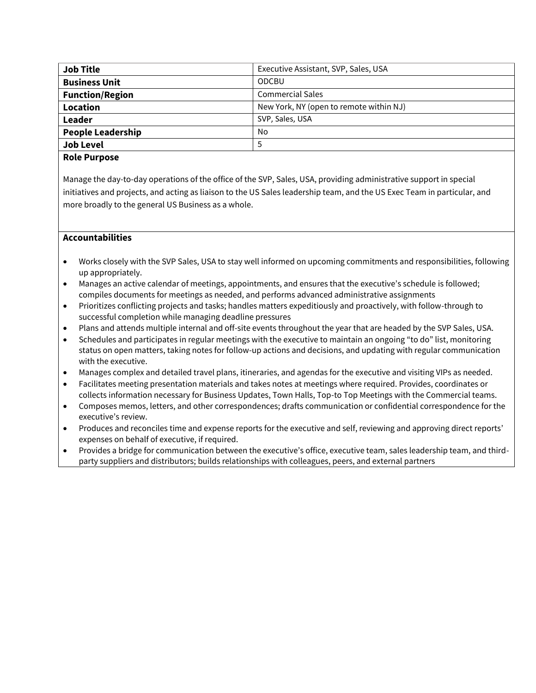| <b>Job Title</b>         | Executive Assistant, SVP, Sales, USA    |  |
|--------------------------|-----------------------------------------|--|
| <b>Business Unit</b>     | <b>ODCBU</b>                            |  |
| <b>Function/Region</b>   | <b>Commercial Sales</b>                 |  |
| Location                 | New York, NY (open to remote within NJ) |  |
| Leader                   | SVP, Sales, USA                         |  |
| <b>People Leadership</b> | No.                                     |  |
| <b>Job Level</b>         |                                         |  |
|                          |                                         |  |

## **Role Purpose**

Manage the day-to-day operations of the office of the SVP, Sales, USA, providing administrative support in special initiatives and projects, and acting as liaison to the US Sales leadership team, and the US Exec Team in particular, and more broadly to the general US Business as a whole.

# **Accountabilities**

- Works closely with the SVP Sales, USA to stay well informed on upcoming commitments and responsibilities, following up appropriately.
- Manages an active calendar of meetings, appointments, and ensures that the executive's schedule is followed; compiles documents for meetings as needed, and performs advanced administrative assignments
- Prioritizes conflicting projects and tasks; handles matters expeditiously and proactively, with follow-through to successful completion while managing deadline pressures
- Plans and attends multiple internal and off-site events throughout the year that are headed by the SVP Sales, USA.
- Schedules and participates in regular meetings with the executive to maintain an ongoing "to do" list, monitoring status on open matters, taking notes for follow-up actions and decisions, and updating with regular communication with the executive.
- Manages complex and detailed travel plans, itineraries, and agendas for the executive and visiting VIPs as needed.
- Facilitates meeting presentation materials and takes notes at meetings where required. Provides, coordinates or collects information necessary for Business Updates, Town Halls, Top-to Top Meetings with the Commercial teams.
- Composes memos, letters, and other correspondences; drafts communication or confidential correspondence for the executive's review.
- Produces and reconciles time and expense reports for the executive and self, reviewing and approving direct reports' expenses on behalf of executive, if required.
- Provides a bridge for communication between the executive's office, executive team, sales leadership team, and thirdparty suppliers and distributors; builds relationships with colleagues, peers, and external partners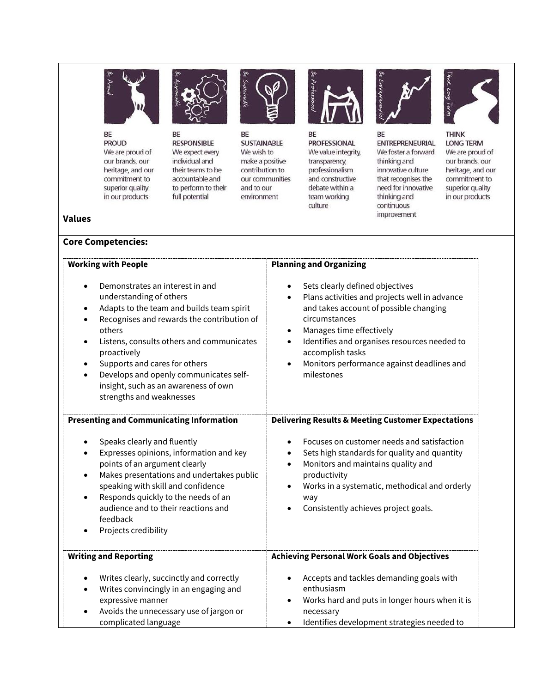

BE **PROUD** We are proud of our brands, our heritage, and our commitment to superior quality in our products



BE **RESPONSIBLE** We expect every individual and their teams to be accountable and to perform to their full potential



BE **SUSTAINABLE** We wish to make a positive contribution to our communities and to our environment



BE **PROFESSIONAL** We value integrity, transparency, professionalism and constructive debate within a team working culture



BE **ENTREPRENEURIAL** We foster a forward thinking and innovative culture that recognises the need for innovative thinking and continuous improvement



**THINK LONG TERM** We are proud of our brands, our heritage, and our commitment to superior quality in our products

## **Values**

## **Core Competencies:**

| <b>Working with People</b>                                                                                                                                                                                                                                                                                                                                                   | <b>Planning and Organizing</b>                                                                                                                                                                                                                                                                                                                                |
|------------------------------------------------------------------------------------------------------------------------------------------------------------------------------------------------------------------------------------------------------------------------------------------------------------------------------------------------------------------------------|---------------------------------------------------------------------------------------------------------------------------------------------------------------------------------------------------------------------------------------------------------------------------------------------------------------------------------------------------------------|
| Demonstrates an interest in and<br>understanding of others<br>Adapts to the team and builds team spirit<br>Recognises and rewards the contribution of<br>others<br>Listens, consults others and communicates<br>proactively<br>Supports and cares for others<br>Develops and openly communicates self-<br>insight, such as an awareness of own<br>strengths and weaknesses   | Sets clearly defined objectives<br>$\bullet$<br>Plans activities and projects well in advance<br>$\bullet$<br>and takes account of possible changing<br>circumstances<br>Manages time effectively<br>Identifies and organises resources needed to<br>$\bullet$<br>accomplish tasks<br>Monitors performance against deadlines and<br>$\bullet$<br>milestones   |
| <b>Presenting and Communicating Information</b><br>Speaks clearly and fluently<br>Expresses opinions, information and key<br>points of an argument clearly<br>Makes presentations and undertakes public<br>speaking with skill and confidence<br>Responds quickly to the needs of an<br>$\bullet$<br>audience and to their reactions and<br>feedback<br>Projects credibility | <b>Delivering Results &amp; Meeting Customer Expectations</b><br>Focuses on customer needs and satisfaction<br>Sets high standards for quality and quantity<br>$\bullet$<br>Monitors and maintains quality and<br>$\bullet$<br>productivity<br>Works in a systematic, methodical and orderly<br>٠<br>way<br>Consistently achieves project goals.<br>$\bullet$ |
| <b>Writing and Reporting</b><br>Writes clearly, succinctly and correctly<br>Writes convincingly in an engaging and<br>expressive manner<br>Avoids the unnecessary use of jargon or<br>complicated language                                                                                                                                                                   | <b>Achieving Personal Work Goals and Objectives</b><br>Accepts and tackles demanding goals with<br>$\bullet$<br>enthusiasm<br>Works hard and puts in longer hours when it is<br>$\bullet$<br>necessary<br>Identifies development strategies needed to<br>$\bullet$                                                                                            |